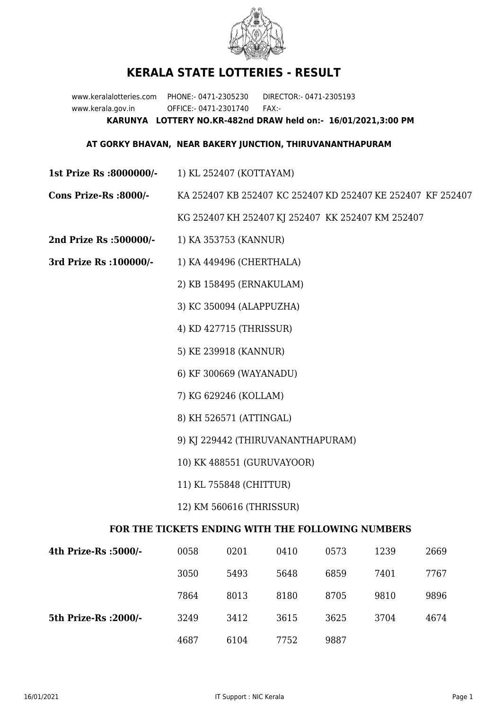

## **KERALA STATE LOTTERIES - RESULT**

www.keralalotteries.com PHONE:- 0471-2305230 DIRECTOR:- 0471-2305193 www.kerala.gov.in OFFICE:- 0471-2301740 FAX:- **KARUNYA LOTTERY NO.KR-482nd DRAW held on:- 16/01/2021,3:00 PM**

## **AT GORKY BHAVAN, NEAR BAKERY JUNCTION, THIRUVANANTHAPURAM**

- **1st Prize Rs :8000000/-** 1) KL 252407 (KOTTAYAM)
- **Cons Prize-Rs :8000/-** KA 252407 KB 252407 KC 252407 KD 252407 KE 252407 KF 252407

KG 252407 KH 252407 KJ 252407 KK 252407 KM 252407

- **2nd Prize Rs :500000/-** 1) KA 353753 (KANNUR)
- **3rd Prize Rs :100000/-** 1) KA 449496 (CHERTHALA)
	- 2) KB 158495 (ERNAKULAM)
	- 3) KC 350094 (ALAPPUZHA)
	- 4) KD 427715 (THRISSUR)
	- 5) KE 239918 (KANNUR)
	- 6) KF 300669 (WAYANADU)
	- 7) KG 629246 (KOLLAM)
	- 8) KH 526571 (ATTINGAL)
	- 9) KJ 229442 (THIRUVANANTHAPURAM)
	- 10) KK 488551 (GURUVAYOOR)
	- 11) KL 755848 (CHITTUR)
	- 12) KM 560616 (THRISSUR)

## **FOR THE TICKETS ENDING WITH THE FOLLOWING NUMBERS**

| 4th Prize-Rs :5000/-  | 0058 | 0201 | 0410 | 0573 | 1239 | 2669 |
|-----------------------|------|------|------|------|------|------|
|                       | 3050 | 5493 | 5648 | 6859 | 7401 | 7767 |
|                       | 7864 | 8013 | 8180 | 8705 | 9810 | 9896 |
| 5th Prize-Rs : 2000/- | 3249 | 3412 | 3615 | 3625 | 3704 | 4674 |
|                       | 4687 | 6104 | 7752 | 9887 |      |      |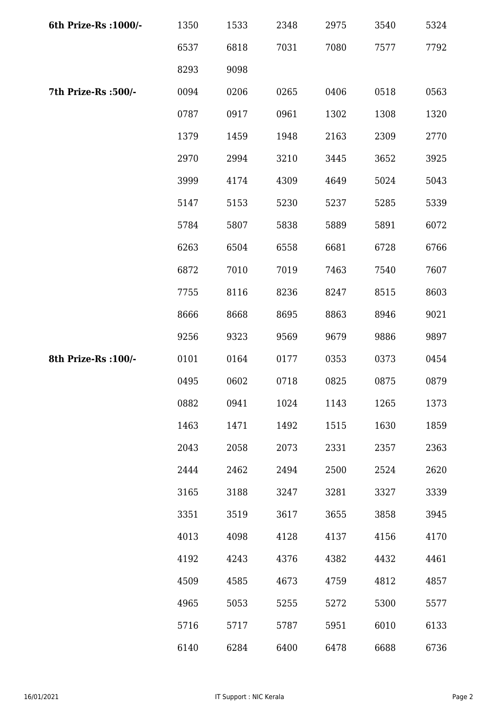| 6th Prize-Rs : 1000/- | 1350 | 1533 | 2348 | 2975 | 3540 | 5324 |
|-----------------------|------|------|------|------|------|------|
|                       | 6537 | 6818 | 7031 | 7080 | 7577 | 7792 |
|                       | 8293 | 9098 |      |      |      |      |
| 7th Prize-Rs :500/-   | 0094 | 0206 | 0265 | 0406 | 0518 | 0563 |
|                       | 0787 | 0917 | 0961 | 1302 | 1308 | 1320 |
|                       | 1379 | 1459 | 1948 | 2163 | 2309 | 2770 |
|                       | 2970 | 2994 | 3210 | 3445 | 3652 | 3925 |
|                       | 3999 | 4174 | 4309 | 4649 | 5024 | 5043 |
|                       | 5147 | 5153 | 5230 | 5237 | 5285 | 5339 |
|                       | 5784 | 5807 | 5838 | 5889 | 5891 | 6072 |
|                       | 6263 | 6504 | 6558 | 6681 | 6728 | 6766 |
|                       | 6872 | 7010 | 7019 | 7463 | 7540 | 7607 |
|                       | 7755 | 8116 | 8236 | 8247 | 8515 | 8603 |
|                       | 8666 | 8668 | 8695 | 8863 | 8946 | 9021 |
|                       | 9256 | 9323 | 9569 | 9679 | 9886 | 9897 |
| 8th Prize-Rs : 100/-  | 0101 | 0164 | 0177 | 0353 | 0373 | 0454 |
|                       | 0495 | 0602 | 0718 | 0825 | 0875 | 0879 |
|                       | 0882 | 0941 | 1024 | 1143 | 1265 | 1373 |
|                       | 1463 | 1471 | 1492 | 1515 | 1630 | 1859 |
|                       | 2043 | 2058 | 2073 | 2331 | 2357 | 2363 |
|                       | 2444 | 2462 | 2494 | 2500 | 2524 | 2620 |
|                       | 3165 | 3188 | 3247 | 3281 | 3327 | 3339 |
|                       | 3351 | 3519 | 3617 | 3655 | 3858 | 3945 |
|                       | 4013 | 4098 | 4128 | 4137 | 4156 | 4170 |
|                       | 4192 | 4243 | 4376 | 4382 | 4432 | 4461 |
|                       | 4509 | 4585 | 4673 | 4759 | 4812 | 4857 |
|                       | 4965 | 5053 | 5255 | 5272 | 5300 | 5577 |
|                       | 5716 | 5717 | 5787 | 5951 | 6010 | 6133 |
|                       | 6140 | 6284 | 6400 | 6478 | 6688 | 6736 |